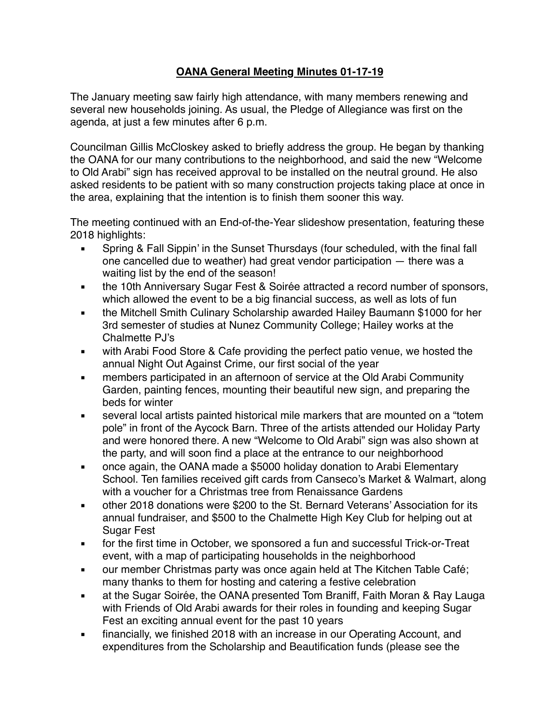## **OANA General Meeting Minutes 01-17-19**

The January meeting saw fairly high attendance, with many members renewing and several new households joining. As usual, the Pledge of Allegiance was first on the agenda, at just a few minutes after 6 p.m.

Councilman Gillis McCloskey asked to briefly address the group. He began by thanking the OANA for our many contributions to the neighborhood, and said the new "Welcome to Old Arabi" sign has received approval to be installed on the neutral ground. He also asked residents to be patient with so many construction projects taking place at once in the area, explaining that the intention is to finish them sooner this way.

The meeting continued with an End-of-the-Year slideshow presentation, featuring these 2018 highlights:

- Spring & Fall Sippin' in the Sunset Thursdays (four scheduled, with the final fall one cancelled due to weather) had great vendor participation — there was a waiting list by the end of the season!
- **the 10th Anniversary Sugar Fest & Soirée attracted a record number of sponsors,** which allowed the event to be a big financial success, as well as lots of fun
- the Mitchell Smith Culinary Scholarship awarded Hailey Baumann \$1000 for her 3rd semester of studies at Nunez Community College; Hailey works at the Chalmette PJ's
- with Arabi Food Store & Cafe providing the perfect patio venue, we hosted the annual Night Out Against Crime, our first social of the year
- **EXEDENT** members participated in an afternoon of service at the Old Arabi Community Garden, painting fences, mounting their beautiful new sign, and preparing the beds for winter
- several local artists painted historical mile markers that are mounted on a "totem" pole" in front of the Aycock Barn. Three of the artists attended our Holiday Party and were honored there. A new "Welcome to Old Arabi" sign was also shown at the party, and will soon find a place at the entrance to our neighborhood
- once again, the OANA made a \$5000 holiday donation to Arabi Elementary School. Ten families received gift cards from Canseco's Market & Walmart, along with a voucher for a Christmas tree from Renaissance Gardens
- other 2018 donations were \$200 to the St. Bernard Veterans' Association for its annual fundraiser, and \$500 to the Chalmette High Key Club for helping out at Sugar Fest
- for the first time in October, we sponsored a fun and successful Trick-or-Treat event, with a map of participating households in the neighborhood
- **our member Christmas party was once again held at The Kitchen Table Café;** many thanks to them for hosting and catering a festive celebration
- at the Sugar Soirée, the OANA presented Tom Braniff, Faith Moran & Ray Lauga with Friends of Old Arabi awards for their roles in founding and keeping Sugar Fest an exciting annual event for the past 10 years
- **EXEDENT** financially, we finished 2018 with an increase in our Operating Account, and expenditures from the Scholarship and Beautification funds (please see the